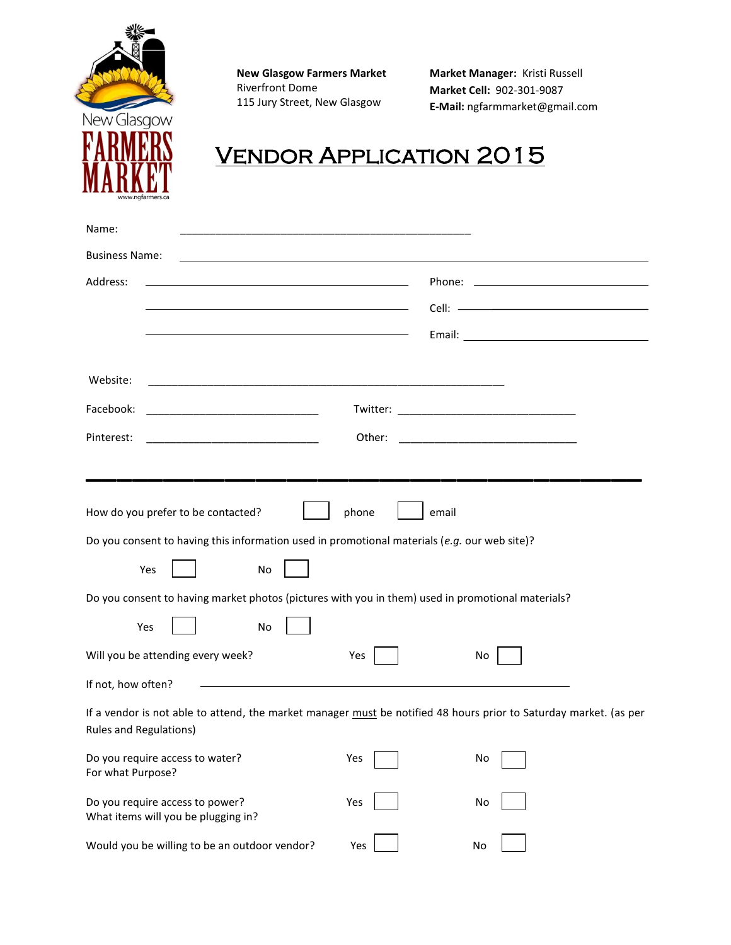

**New Glasgow Farmers Market**  Riverfront Dome 115 Jury Street, New Glasgow

**Market Manager:** Kristi Russell **Market Cell:** 902-301-9087 **E-Mail:** ngfarmmarket@gmail.com

# Vendor Application 2015

| Name:                                                                                                                                       |                                                                                                                                 |  |  |  |  |
|---------------------------------------------------------------------------------------------------------------------------------------------|---------------------------------------------------------------------------------------------------------------------------------|--|--|--|--|
| <b>Business Name:</b>                                                                                                                       |                                                                                                                                 |  |  |  |  |
| Address:                                                                                                                                    |                                                                                                                                 |  |  |  |  |
| <u> 1980 - Johann Stein, marwolaethau a bhann an t-Amhair an t-Amhair an t-Amhair an t-Amhair an t-Amhair an t-A</u>                        |                                                                                                                                 |  |  |  |  |
|                                                                                                                                             |                                                                                                                                 |  |  |  |  |
|                                                                                                                                             |                                                                                                                                 |  |  |  |  |
| Website:                                                                                                                                    |                                                                                                                                 |  |  |  |  |
| Facebook:                                                                                                                                   |                                                                                                                                 |  |  |  |  |
| Pinterest:<br><u> 1950 - Johann John Harry Harry Harry Harry Harry Harry Harry Harry Harry Harry Harry Harry Harry Harry Harry</u>          | Other:<br><u> 1999 - Johann Harry Harry Harry Harry Harry Harry Harry Harry Harry Harry Harry Harry Harry Harry Harry Harry</u> |  |  |  |  |
|                                                                                                                                             |                                                                                                                                 |  |  |  |  |
|                                                                                                                                             |                                                                                                                                 |  |  |  |  |
| How do you prefer to be contacted?                                                                                                          | phone<br>email                                                                                                                  |  |  |  |  |
| Do you consent to having this information used in promotional materials (e.g. our web site)?                                                |                                                                                                                                 |  |  |  |  |
| Yes<br>No                                                                                                                                   |                                                                                                                                 |  |  |  |  |
| Do you consent to having market photos (pictures with you in them) used in promotional materials?                                           |                                                                                                                                 |  |  |  |  |
| Yes<br>No                                                                                                                                   |                                                                                                                                 |  |  |  |  |
| Will you be attending every week?                                                                                                           | Yes<br>No                                                                                                                       |  |  |  |  |
| If not, how often?                                                                                                                          |                                                                                                                                 |  |  |  |  |
| If a vendor is not able to attend, the market manager must be notified 48 hours prior to Saturday market. (as per<br>Rules and Regulations) |                                                                                                                                 |  |  |  |  |
| Do you require access to water?<br>For what Purpose?                                                                                        | Yes<br>No                                                                                                                       |  |  |  |  |
| Do you require access to power?<br>What items will you be plugging in?                                                                      | Yes<br>No                                                                                                                       |  |  |  |  |
| Would you be willing to be an outdoor vendor?                                                                                               | Yes<br>No                                                                                                                       |  |  |  |  |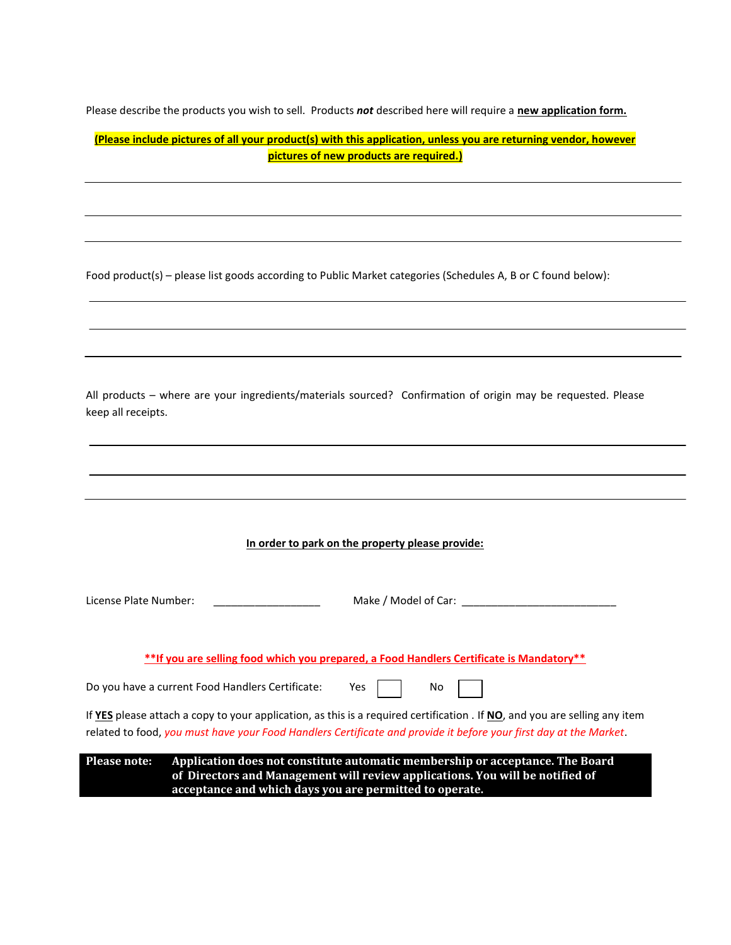Please describe the products you wish to sell. Products *not* described here will require a **new application form.**

| (Please include pictures of all your product(s) with this application, unless you are returning vendor, however |  |
|-----------------------------------------------------------------------------------------------------------------|--|
| pictures of new products are required.)                                                                         |  |

I

Food product(s) – please list goods according to Public Market categories (Schedules A, B or C found below):

| All products - where are your ingredients/materials sourced? Confirmation of origin may be requested. Please |  |
|--------------------------------------------------------------------------------------------------------------|--|
| keep all receipts.                                                                                           |  |

| License Plate Number:                                                                                                                                                                                                                          |     | Make / Model of Car: |                                                                               |  |  |
|------------------------------------------------------------------------------------------------------------------------------------------------------------------------------------------------------------------------------------------------|-----|----------------------|-------------------------------------------------------------------------------|--|--|
| **If you are selling food which you prepared, a Food Handlers Certificate is Mandatory**                                                                                                                                                       |     |                      |                                                                               |  |  |
| Do you have a current Food Handlers Certificate:                                                                                                                                                                                               | Yes | No                   |                                                                               |  |  |
| If YES please attach a copy to your application, as this is a required certification. If NO, and you are selling any item<br>related to food, you must have your Food Handlers Certificate and provide it before your first day at the Market. |     |                      |                                                                               |  |  |
| <b>Please note:</b>                                                                                                                                                                                                                            |     |                      | Application does not constitute automatic membership or acceptance. The Board |  |  |

**of Directors and Management will review applications. You will be notified of acceptance and which days you are permitted to operate.**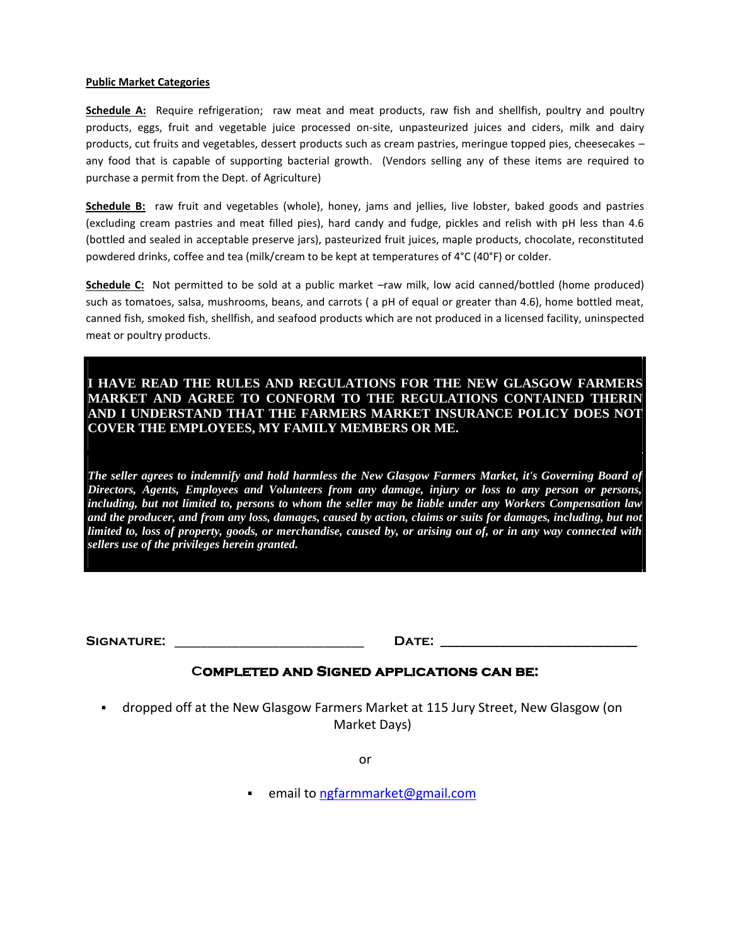#### **Public Market Categories**

**Schedule A:** Require refrigeration; raw meat and meat products, raw fish and shellfish, poultry and poultry products, eggs, fruit and vegetable juice processed on-site, unpasteurized juices and ciders, milk and dairy products, cut fruits and vegetables, dessert products such as cream pastries, meringue topped pies, cheesecakes – any food that is capable of supporting bacterial growth. (Vendors selling any of these items are required to purchase a permit from the Dept. of Agriculture)

**Schedule B:** raw fruit and vegetables (whole), honey, jams and jellies, live lobster, baked goods and pastries (excluding cream pastries and meat filled pies), hard candy and fudge, pickles and relish with pH less than 4.6 (bottled and sealed in acceptable preserve jars), pasteurized fruit juices, maple products, chocolate, reconstituted powdered drinks, coffee and tea (milk/cream to be kept at temperatures of 4°C (40°F) or colder.

**Schedule C:** Not permitted to be sold at a public market –raw milk, low acid canned/bottled (home produced) such as tomatoes, salsa, mushrooms, beans, and carrots ( a pH of equal or greater than 4.6), home bottled meat, canned fish, smoked fish, shellfish, and seafood products which are not produced in a licensed facility, uninspected meat or poultry products.

### **I HAVE READ THE RULES AND REGULATIONS FOR THE NEW GLASGOW FARMERS MARKET AND AGREE TO CONFORM TO THE REGULATIONS CONTAINED THERIN AND I UNDERSTAND THAT THE FARMERS MARKET INSURANCE POLICY DOES NOT COVER THE EMPLOYEES, MY FAMILY MEMBERS OR ME.**

*The seller agrees to indemnify and hold harmless the New Glasgow Farmers Market, it's Governing Board of Directors, Agents, Employees and Volunteers from any damage, injury or loss to any person or persons, including, but not limited to, persons to whom the seller may be liable under any Workers Compensation law and the producer, and from any loss, damages, caused by action, claims or suits for damages, including, but not limited to, loss of property, goods, or merchandise, caused by, or arising out of, or in any way connected with sellers use of the privileges herein granted.* 

**Signature:** \_\_\_\_\_\_\_\_\_\_\_\_\_\_\_\_\_\_\_\_\_\_\_\_\_\_\_\_\_ **Date: \_\_\_\_\_\_\_\_\_\_\_\_\_\_\_\_\_\_\_\_\_\_\_\_\_\_\_\_\_\_**

#### **Completed and Signed applications can be:**

 dropped off at the New Glasgow Farmers Market at 115 Jury Street, New Glasgow (on Market Days)

or

email to [ngfarmmarket@gmail.com](mailto:ngfarmmarket@gmail.com)